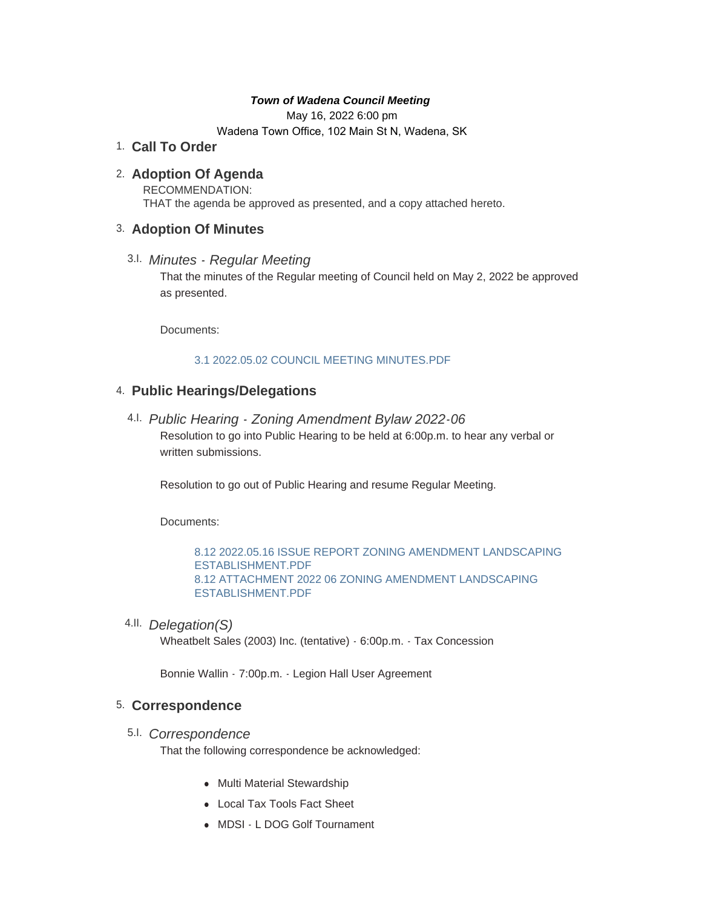#### *Town of Wadena Council Meeting*

May 16, 2022 6:00 pm

Wadena Town Office, 102 Main St N, Wadena, SK

## **Call To Order** 1.

## **Adoption Of Agenda** 2.

RECOMMENDATION: THAT the agenda be approved as presented, and a copy attached hereto.

## **Adoption Of Minutes** 3.

*Minutes - Regular Meeting* 3.I. That the minutes of the Regular meeting of Council held on May 2, 2022 be approved as presented.

Documents:

### [3.1 2022.05.02 COUNCIL MEETING MINUTES.PDF](http://townofwadena.com/AgendaCenter/ViewFile/Item/3692?fileID=4310)

# **Public Hearings/Delegations** 4.

*Public Hearing - Zoning Amendment Bylaw 2022-06* 4.I. Resolution to go into Public Hearing to be held at 6:00p.m. to hear any verbal or written submissions.

Resolution to go out of Public Hearing and resume Regular Meeting.

Documents:

[8.12 2022.05.16 ISSUE REPORT ZONING AMENDMENT LANDSCAPING](http://townofwadena.com/AgendaCenter/ViewFile/Item/3715?fileID=4330)  ESTABLISHMENT.PDF [8.12 ATTACHMENT 2022 06 ZONING AMENDMENT LANDSCAPING](http://townofwadena.com/AgendaCenter/ViewFile/Item/3715?fileID=4331)  ESTABLISHMENT.PDF

*Delegation(S)*  4.II.

Wheatbelt Sales (2003) Inc. (tentative) - 6:00p.m. - Tax Concession

Bonnie Wallin - 7:00p.m. - Legion Hall User Agreement

### **Correspondence** 5.

*Correspondence* 5.I.

That the following correspondence be acknowledged:

- Multi Material Stewardship
- Local Tax Tools Fact Sheet
- MDSI L DOG Golf Tournament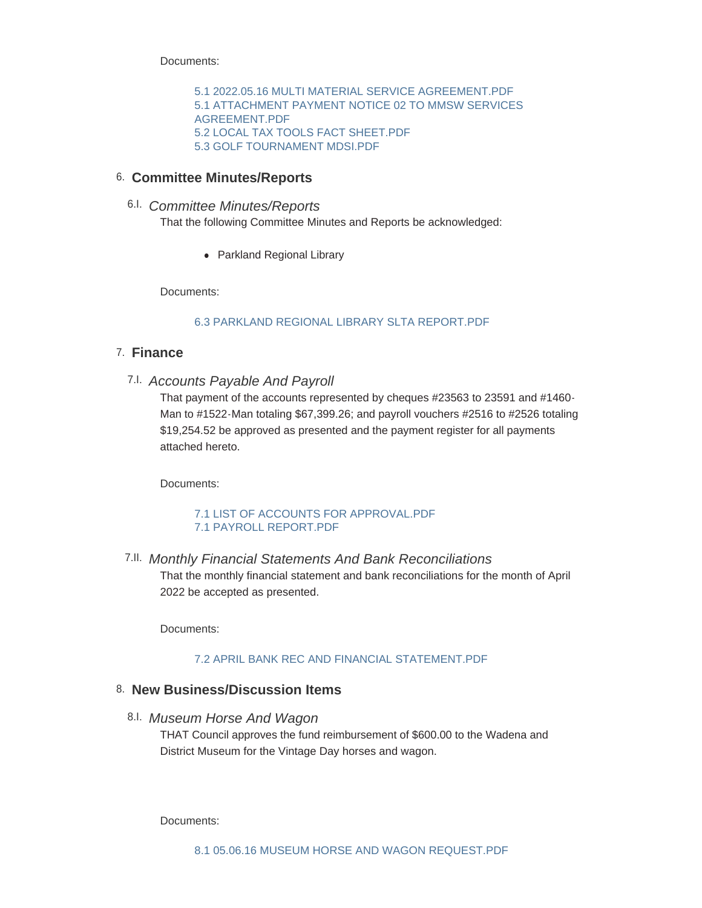Documents:

[5.1 2022.05.16 MULTI MATERIAL SERVICE AGREEMENT.PDF](http://townofwadena.com/AgendaCenter/ViewFile/Item/3696?fileID=4311) [5.1 ATTACHMENT PAYMENT NOTICE 02 TO MMSW SERVICES](http://townofwadena.com/AgendaCenter/ViewFile/Item/3696?fileID=4312)  AGREEMENT.PDF [5.2 LOCAL TAX TOOLS FACT SHEET.PDF](http://townofwadena.com/AgendaCenter/ViewFile/Item/3696?fileID=4313) [5.3 GOLF TOURNAMENT MDSI.PDF](http://townofwadena.com/AgendaCenter/ViewFile/Item/3696?fileID=4314)

### **Committee Minutes/Reports** 6.

## *Committee Minutes/Reports* 6.I.

That the following Committee Minutes and Reports be acknowledged:

• Parkland Regional Library

Documents:

### [6.3 PARKLAND REGIONAL LIBRARY SLTA REPORT.PDF](http://townofwadena.com/AgendaCenter/ViewFile/Item/3698?fileID=4315)

## **Finance** 7.

*Accounts Payable And Payroll* 7.I.

That payment of the accounts represented by cheques #23563 to 23591 and #1460- Man to #1522-Man totaling \$67,399.26; and payroll vouchers #2516 to #2526 totaling \$19,254.52 be approved as presented and the payment register for all payments attached hereto.

Documents:

#### [7.1 LIST OF ACCOUNTS FOR APPROVAL.PDF](http://townofwadena.com/AgendaCenter/ViewFile/Item/3700?fileID=4334) [7.1 PAYROLL REPORT.PDF](http://townofwadena.com/AgendaCenter/ViewFile/Item/3700?fileID=4335)

*Monthly Financial Statements And Bank Reconciliations* 7.II.

That the monthly financial statement and bank reconciliations for the month of April 2022 be accepted as presented.

Documents:

#### [7.2 APRIL BANK REC AND FINANCIAL STATEMENT.PDF](http://townofwadena.com/AgendaCenter/ViewFile/Item/3716?fileID=4336)

### **New Business/Discussion Items** 8.

*Museum Horse And Wagon* 8.I.

THAT Council approves the fund reimbursement of \$600.00 to the Wadena and District Museum for the Vintage Day horses and wagon.

Documents: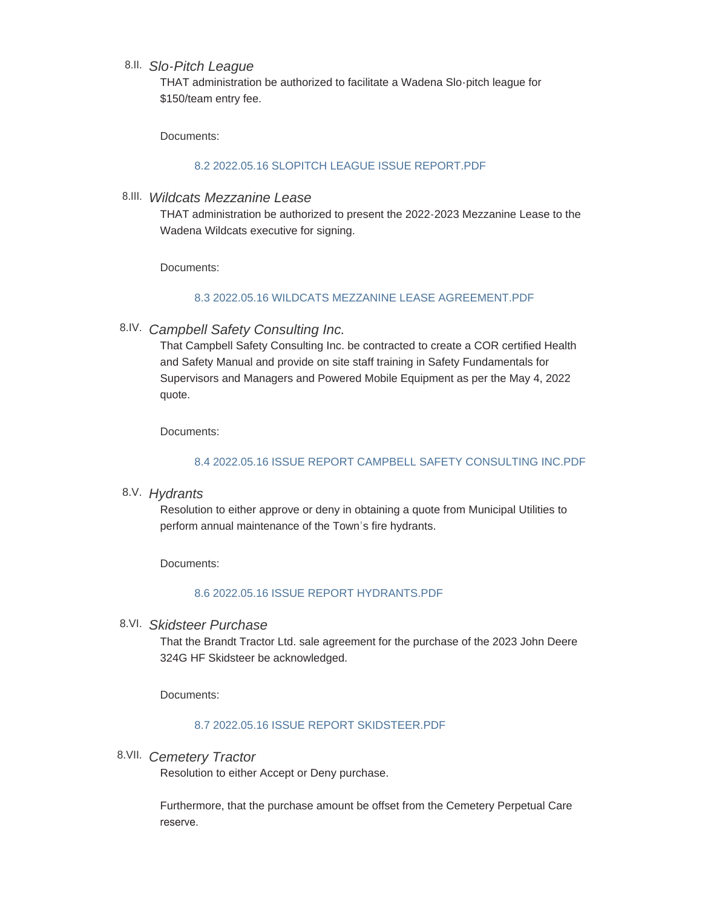### *Slo-Pitch League* 8.II.

THAT administration be authorized to facilitate a Wadena Slo-pitch league for \$150/team entry fee.

Documents:

### [8.2 2022.05.16 SLOPITCH LEAGUE ISSUE REPORT.PDF](http://townofwadena.com/AgendaCenter/ViewFile/Item/3710?fileID=4317)

*Wildcats Mezzanine Lease* 8.III.

THAT administration be authorized to present the 2022-2023 Mezzanine Lease to the Wadena Wildcats executive for signing.

Documents:

#### [8.3 2022.05.16 WILDCATS MEZZANINE LEASE AGREEMENT.PDF](http://townofwadena.com/AgendaCenter/ViewFile/Item/3702?fileID=4318)

*Campbell Safety Consulting Inc.* 8.IV.

That Campbell Safety Consulting Inc. be contracted to create a COR certified Health and Safety Manual and provide on site staff training in Safety Fundamentals for Supervisors and Managers and Powered Mobile Equipment as per the May 4, 2022 quote.

Documents:

### [8.4 2022.05.16 ISSUE REPORT CAMPBELL SAFETY CONSULTING INC.PDF](http://townofwadena.com/AgendaCenter/ViewFile/Item/3711?fileID=4319)

*Hydrants* 8.V.

Resolution to either approve or deny in obtaining a quote from Municipal Utilities to perform annual maintenance of the Town's fire hydrants.

Documents:

### [8.6 2022.05.16 ISSUE REPORT HYDRANTS.PDF](http://townofwadena.com/AgendaCenter/ViewFile/Item/3703?fileID=4321)

*Skidsteer Purchase* 8.VI.

That the Brandt Tractor Ltd. sale agreement for the purchase of the 2023 John Deere 324G HF Skidsteer be acknowledged.

Documents:

### [8.7 2022.05.16 ISSUE REPORT SKIDSTEER.PDF](http://townofwadena.com/AgendaCenter/ViewFile/Item/3706?fileID=4322)

*Cemetery Tractor* 8.VII.

Resolution to either Accept or Deny purchase.

Furthermore, that the purchase amount be offset from the Cemetery Perpetual Care reserve.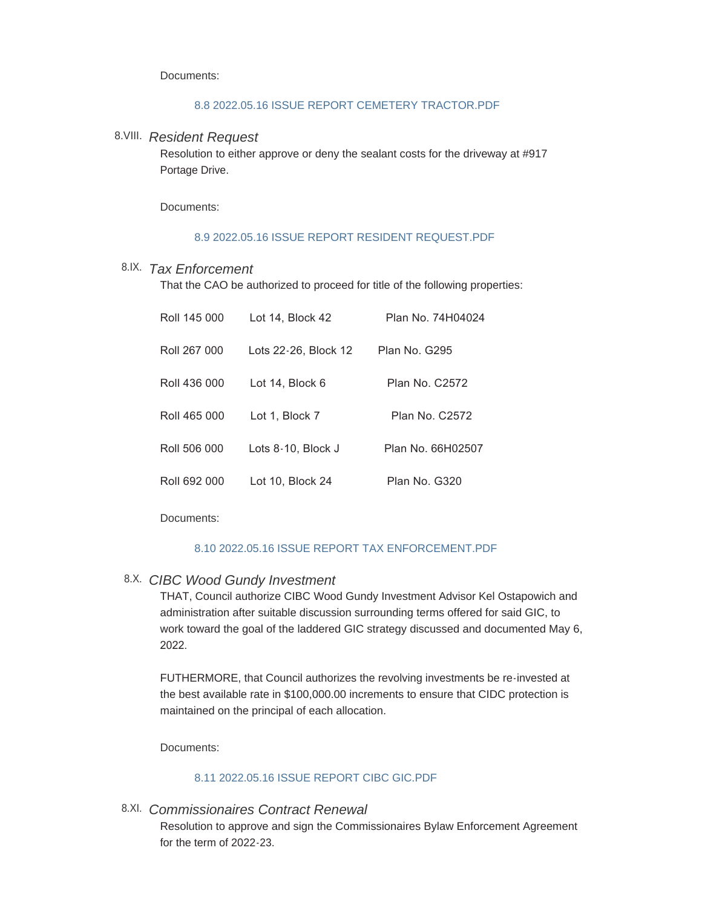Documents:

#### [8.8 2022.05.16 ISSUE REPORT CEMETERY TRACTOR.PDF](http://townofwadena.com/AgendaCenter/ViewFile/Item/3705?fileID=4323)

### *Resident Request* 8.VIII.

Resolution to either approve or deny the sealant costs for the driveway at #917 Portage Drive.

Documents:

#### 8.9 2022.05.16 ISSUE REPORT RESIDENT REQUEST PDE

## *Tax Enforcement* 8.IX.

That the CAO be authorized to proceed for title of the following properties:

| Roll 145 000 | Lot 14, Block 42     | Plan No. 74H04024     |
|--------------|----------------------|-----------------------|
| Roll 267 000 | Lots 22-26, Block 12 | Plan No. G295         |
| Roll 436 000 | Lot 14, Block 6      | <b>Plan No. C2572</b> |
| Roll 465 000 | Lot 1, Block 7       | Plan No. C2572        |
| Roll 506 000 | Lots 8-10, Block J   | Plan No. 66H02507     |
| Roll 692 000 | Lot 10, Block 24     | Plan No. G320         |

Documents:

### [8.10 2022.05.16 ISSUE REPORT TAX ENFORCEMENT.PDF](http://townofwadena.com/AgendaCenter/ViewFile/Item/3712?fileID=4325)

## *CIBC Wood Gundy Investment* 8.X.

THAT, Council authorize CIBC Wood Gundy Investment Advisor Kel Ostapowich and administration after suitable discussion surrounding terms offered for said GIC, to work toward the goal of the laddered GIC strategy discussed and documented May 6, 2022.

FUTHERMORE, that Council authorizes the revolving investments be re-invested at the best available rate in \$100,000.00 increments to ensure that CIDC protection is maintained on the principal of each allocation.

Documents:

## [8.11 2022.05.16 ISSUE REPORT CIBC GIC.PDF](http://townofwadena.com/AgendaCenter/ViewFile/Item/3704?fileID=4326)

## *Commissionaires Contract Renewal* 8.XI.

Resolution to approve and sign the Commissionaires Bylaw Enforcement Agreement for the term of 2022-23.